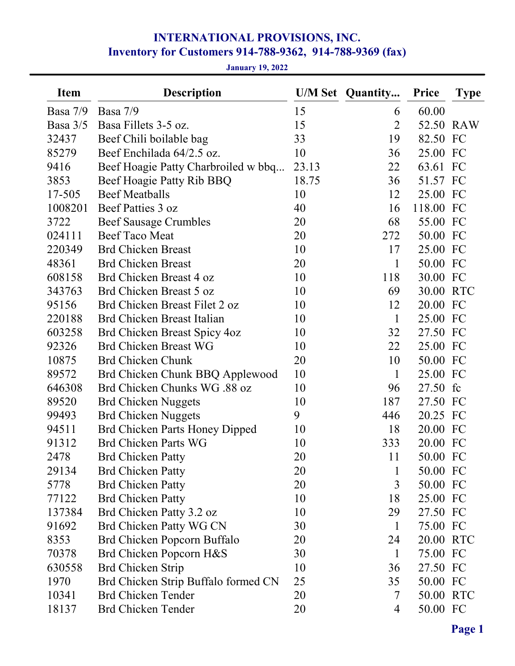# INTERNATIONAL PROVISIONS, INC. Inventory for Customers 914-788-9362, 914-788-9369 (fax)

January 19, 2022

| <b>Item</b> | <b>Description</b>                    |       | <b>U/M Set Quantity</b> | <b>Price</b> | <b>Type</b> |
|-------------|---------------------------------------|-------|-------------------------|--------------|-------------|
| Basa 7/9    | Basa $7/9$                            | 15    | 6                       | 60.00        |             |
| Basa $3/5$  | Basa Fillets 3-5 oz.                  | 15    | $\overline{2}$          |              | 52.50 RAW   |
| 32437       | Beef Chili boilable bag               | 33    | 19                      | 82.50 FC     |             |
| 85279       | Beef Enchilada 64/2.5 oz.             | 10    | 36                      | 25.00 FC     |             |
| 9416        | Beef Hoagie Patty Charbroiled w bbq   | 23.13 | 22                      | 63.61        | FC          |
| 3853        | Beef Hoagie Patty Rib BBQ             | 18.75 | 36                      | 51.57 FC     |             |
| 17-505      | <b>Beef Meatballs</b>                 | 10    | 12                      | 25.00 FC     |             |
| 1008201     | Beef Patties 3 oz                     | 40    | 16                      | 118.00 FC    |             |
| 3722        | <b>Beef Sausage Crumbles</b>          | 20    | 68                      | 55.00        | FC          |
| 024111      | Beef Taco Meat                        | 20    | 272                     | 50.00        | FC          |
| 220349      | <b>Brd Chicken Breast</b>             | 10    | 17                      | 25.00 FC     |             |
| 48361       | <b>Brd Chicken Breast</b>             | 20    | 1                       | 50.00 FC     |             |
| 608158      | Brd Chicken Breast 4 oz               | 10    | 118                     | 30.00        | FC          |
| 343763      | Brd Chicken Breast 5 oz               | 10    | 69                      | 30.00 RTC    |             |
| 95156       | Brd Chicken Breast Filet 2 oz         | 10    | 12                      | 20.00        | FC          |
| 220188      | Brd Chicken Breast Italian            | 10    | $\mathbf{1}$            | 25.00 FC     |             |
| 603258      | Brd Chicken Breast Spicy 4oz          | 10    | 32                      | 27.50 FC     |             |
| 92326       | <b>Brd Chicken Breast WG</b>          | 10    | 22                      | 25.00 FC     |             |
| 10875       | <b>Brd Chicken Chunk</b>              | 20    | 10                      | 50.00 FC     |             |
| 89572       | Brd Chicken Chunk BBQ Applewood       | 10    | $\mathbf{1}$            | 25.00 FC     |             |
| 646308      | Brd Chicken Chunks WG .88 oz          | 10    | 96                      | 27.50        | fc          |
| 89520       | <b>Brd Chicken Nuggets</b>            | 10    | 187                     | 27.50 FC     |             |
| 99493       | <b>Brd Chicken Nuggets</b>            | 9     | 446                     | 20.25 FC     |             |
| 94511       | <b>Brd Chicken Parts Honey Dipped</b> | 10    | 18                      | 20.00 FC     |             |
| 91312       | <b>Brd Chicken Parts WG</b>           | 10    | 333                     | 20.00 FC     |             |
| 2478        | <b>Brd Chicken Patty</b>              | 20    | 11                      | 50.00 FC     |             |
| 29134       | <b>Brd Chicken Patty</b>              | 20    | $\mathbf{1}$            | 50.00 FC     |             |
| 5778        | <b>Brd Chicken Patty</b>              | 20    | 3                       | 50.00 FC     |             |
| 77122       | <b>Brd Chicken Patty</b>              | 10    | 18                      | 25.00 FC     |             |
| 137384      | Brd Chicken Patty 3.2 oz              | 10    | 29                      | 27.50 FC     |             |
| 91692       | Brd Chicken Patty WG CN               | 30    | $\mathbf{1}$            | 75.00 FC     |             |
| 8353        | Brd Chicken Popcorn Buffalo           | 20    | 24                      | 20.00 RTC    |             |
| 70378       | Brd Chicken Popcorn H&S               | 30    | $\mathbf{1}$            | 75.00 FC     |             |
| 630558      | Brd Chicken Strip                     | 10    | 36                      | 27.50 FC     |             |
| 1970        | Brd Chicken Strip Buffalo formed CN   | 25    | 35                      | 50.00 FC     |             |
| 10341       | <b>Brd Chicken Tender</b>             | 20    | 7                       | 50.00 RTC    |             |
| 18137       | <b>Brd Chicken Tender</b>             | 20    | 4                       | 50.00 FC     |             |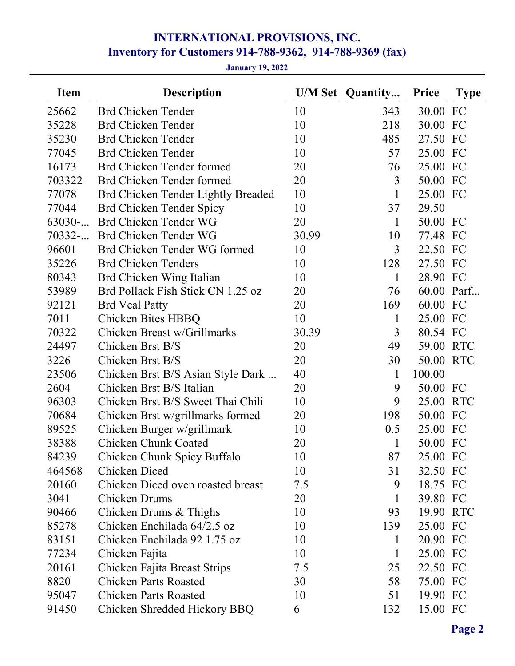# INTERNATIONAL PROVISIONS, INC. Inventory for Customers 914-788-9362, 914-788-9369 (fax)

## January 19, 2022

| <b>Item</b> | <b>Description</b>                 |       | <b>U/M Set Quantity</b> | <b>Price</b> | <b>Type</b> |
|-------------|------------------------------------|-------|-------------------------|--------------|-------------|
| 25662       | <b>Brd Chicken Tender</b>          | 10    | 343                     | 30.00        | FC          |
| 35228       | <b>Brd Chicken Tender</b>          | 10    | 218                     | 30.00        | FC          |
| 35230       | <b>Brd Chicken Tender</b>          | 10    | 485                     | 27.50 FC     |             |
| 77045       | <b>Brd Chicken Tender</b>          | 10    | 57                      | 25.00        | FC          |
| 16173       | Brd Chicken Tender formed          | 20    | 76                      | 25.00 FC     |             |
| 703322      | Brd Chicken Tender formed          | 20    | 3                       | 50.00 FC     |             |
| 77078       | Brd Chicken Tender Lightly Breaded | 10    | $\mathbf{1}$            | 25.00 FC     |             |
| 77044       | Brd Chicken Tender Spicy           | 10    | 37                      | 29.50        |             |
| 63030       | Brd Chicken Tender WG              | 20    | $\mathbf{1}$            | 50.00 FC     |             |
| 70332       | Brd Chicken Tender WG              | 30.99 | 10                      | 77.48 FC     |             |
| 96601       | Brd Chicken Tender WG formed       | 10    | 3                       | 22.50 FC     |             |
| 35226       | <b>Brd Chicken Tenders</b>         | 10    | 128                     | 27.50 FC     |             |
| 80343       | Brd Chicken Wing Italian           | 10    | 1                       | 28.90 FC     |             |
| 53989       | Brd Pollack Fish Stick CN 1.25 oz  | 20    | 76                      |              | 60.00 Parf  |
| 92121       | <b>Brd Veal Patty</b>              | 20    | 169                     | 60.00 FC     |             |
| 7011        | Chicken Bites HBBQ                 | 10    | $\mathbf{1}$            | 25.00 FC     |             |
| 70322       | Chicken Breast w/Grillmarks        | 30.39 | 3                       | 80.54 FC     |             |
| 24497       | Chicken Brst B/S                   | 20    | 49                      | 59.00 RTC    |             |
| 3226        | Chicken Brst B/S                   | 20    | 30                      | 50.00 RTC    |             |
| 23506       | Chicken Brst B/S Asian Style Dark  | 40    | $\mathbf{1}$            | 100.00       |             |
| 2604        | Chicken Brst B/S Italian           | 20    | 9                       | 50.00 FC     |             |
| 96303       | Chicken Brst B/S Sweet Thai Chili  | 10    | 9                       | 25.00        | <b>RTC</b>  |
| 70684       | Chicken Brst w/grillmarks formed   | 20    | 198                     | 50.00 FC     |             |
| 89525       | Chicken Burger w/grillmark         | 10    | 0.5                     | 25.00 FC     |             |
| 38388       | Chicken Chunk Coated               | 20    | 1                       | 50.00 FC     |             |
| 84239       | Chicken Chunk Spicy Buffalo        | 10    | 87                      | 25.00 FC     |             |
| 464568      | Chicken Diced                      | 10    | 31                      | 32.50 FC     |             |
| 20160       | Chicken Diced oven roasted breast  | 7.5   | 9                       | 18.75 FC     |             |
| 3041        | Chicken Drums                      | 20    | 1                       | 39.80 FC     |             |
| 90466       | Chicken Drums & Thighs             | 10    | 93                      | 19.90 RTC    |             |
| 85278       | Chicken Enchilada 64/2.5 oz        | 10    | 139                     | 25.00 FC     |             |
| 83151       | Chicken Enchilada 92 1.75 oz       | 10    | $\bf{l}$                | 20.90 FC     |             |
| 77234       | Chicken Fajita                     | 10    | 1                       | 25.00 FC     |             |
| 20161       | Chicken Fajita Breast Strips       | 7.5   | 25                      | 22.50 FC     |             |
| 8820        | <b>Chicken Parts Roasted</b>       | 30    | 58                      | 75.00 FC     |             |
| 95047       | <b>Chicken Parts Roasted</b>       | 10    | 51                      | 19.90 FC     |             |
| 91450       | Chicken Shredded Hickory BBQ       | 6     | 132                     | 15.00 FC     |             |